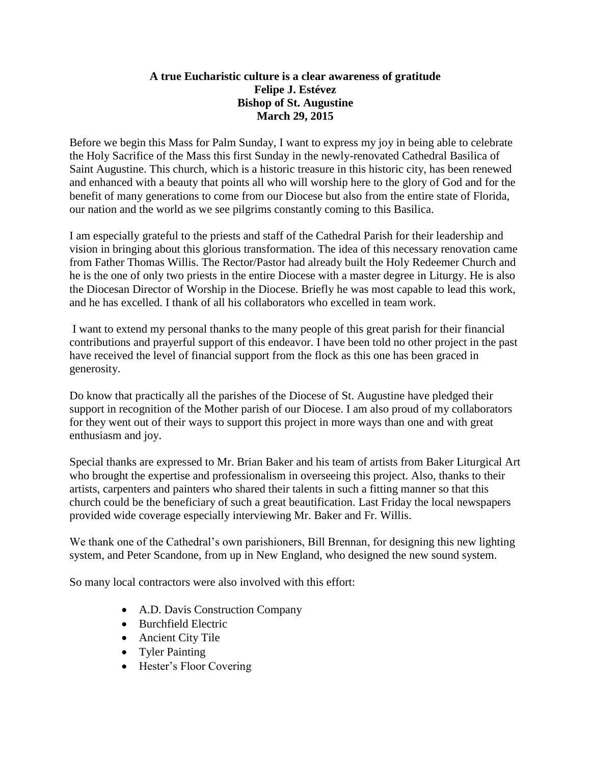## **A true Eucharistic culture is a clear awareness of gratitude Felipe J. Estévez Bishop of St. Augustine March 29, 2015**

Before we begin this Mass for Palm Sunday, I want to express my joy in being able to celebrate the Holy Sacrifice of the Mass this first Sunday in the newly-renovated Cathedral Basilica of Saint Augustine. This church, which is a historic treasure in this historic city, has been renewed and enhanced with a beauty that points all who will worship here to the glory of God and for the benefit of many generations to come from our Diocese but also from the entire state of Florida, our nation and the world as we see pilgrims constantly coming to this Basilica.

I am especially grateful to the priests and staff of the Cathedral Parish for their leadership and vision in bringing about this glorious transformation. The idea of this necessary renovation came from Father Thomas Willis. The Rector/Pastor had already built the Holy Redeemer Church and he is the one of only two priests in the entire Diocese with a master degree in Liturgy. He is also the Diocesan Director of Worship in the Diocese. Briefly he was most capable to lead this work, and he has excelled. I thank of all his collaborators who excelled in team work.

I want to extend my personal thanks to the many people of this great parish for their financial contributions and prayerful support of this endeavor. I have been told no other project in the past have received the level of financial support from the flock as this one has been graced in generosity.

Do know that practically all the parishes of the Diocese of St. Augustine have pledged their support in recognition of the Mother parish of our Diocese. I am also proud of my collaborators for they went out of their ways to support this project in more ways than one and with great enthusiasm and joy.

Special thanks are expressed to Mr. Brian Baker and his team of artists from Baker Liturgical Art who brought the expertise and professionalism in overseeing this project. Also, thanks to their artists, carpenters and painters who shared their talents in such a fitting manner so that this church could be the beneficiary of such a great beautification. Last Friday the local newspapers provided wide coverage especially interviewing Mr. Baker and Fr. Willis.

We thank one of the Cathedral's own parishioners, Bill Brennan, for designing this new lighting system, and Peter Scandone, from up in New England, who designed the new sound system.

So many local contractors were also involved with this effort:

- A.D. Davis Construction Company
- Burchfield Electric
- Ancient City Tile
- Tyler Painting
- Hester's Floor Covering